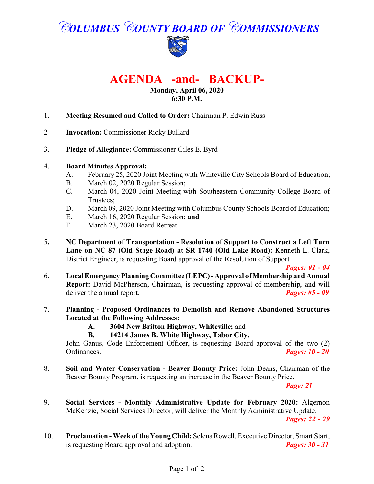# *COLUMBUS COUNTY BOARD OF COMMISSIONERS*



# **AGENDA -and- BACKUP-**

#### **Monday, April 06, 2020 6:30 P.M.**

- 1. **Meeting Resumed and Called to Order:** Chairman P. Edwin Russ
- 2 **Invocation:** Commissioner Ricky Bullard
- 3. **Pledge of Allegiance:** Commissioner Giles E. Byrd

#### 4. **Board Minutes Approval:**

- A. February 25, 2020 Joint Meeting with Whiteville City Schools Board of Education;
- B. March 02, 2020 Regular Session;
- C. March 04, 2020 Joint Meeting with Southeastern Community College Board of Trustees;
- D. March 09, 2020 Joint Meeting with Columbus County Schools Board of Education;
- E. March 16, 2020 Regular Session; **and**
- F. March 23, 2020 Board Retreat.
- 5**. NC Department of Transportation Resolution of Support to Construct a Left Turn Lane on NC 87 (Old Stage Road) at SR 1740 (Old Lake Road):** Kenneth L. Clark, District Engineer, is requesting Board approval of the Resolution of Support.

*Pages: 01 - 04* 

- 6. **Local Emergency Planning Committee (LEPC) -Approval ofMembership and Annual Report:** David McPherson, Chairman, is requesting approval of membership, and will deliver the annual report. *Pages: 05 - 09*
- 7. **Planning Proposed Ordinances to Demolish and Remove Abandoned Structures Located at the Following Addresses:**
	- **A. 3604 New Britton Highway, Whiteville;** and
	- **B. 14214 James B. White Highway, Tabor City.**

John Ganus, Code Enforcement Officer, is requesting Board approval of the two (2) Ordinances. *Pages: 10 - 20*

8. **Soil and Water Conservation - Beaver Bounty Price:** John Deans, Chairman of the Beaver Bounty Program, is requesting an increase in the Beaver Bounty Price.

*Page: 21*

9. **Social Services - Monthly Administrative Update for February 2020:** Algernon McKenzie, Social Services Director, will deliver the Monthly Administrative Update.

*Pages: 22 - 29* 

10. **Proclamation - Week ofthe Young Child:** Selena Rowell, Executive Director, Smart Start, is requesting Board approval and adoption. *Pages: 30 - 31*